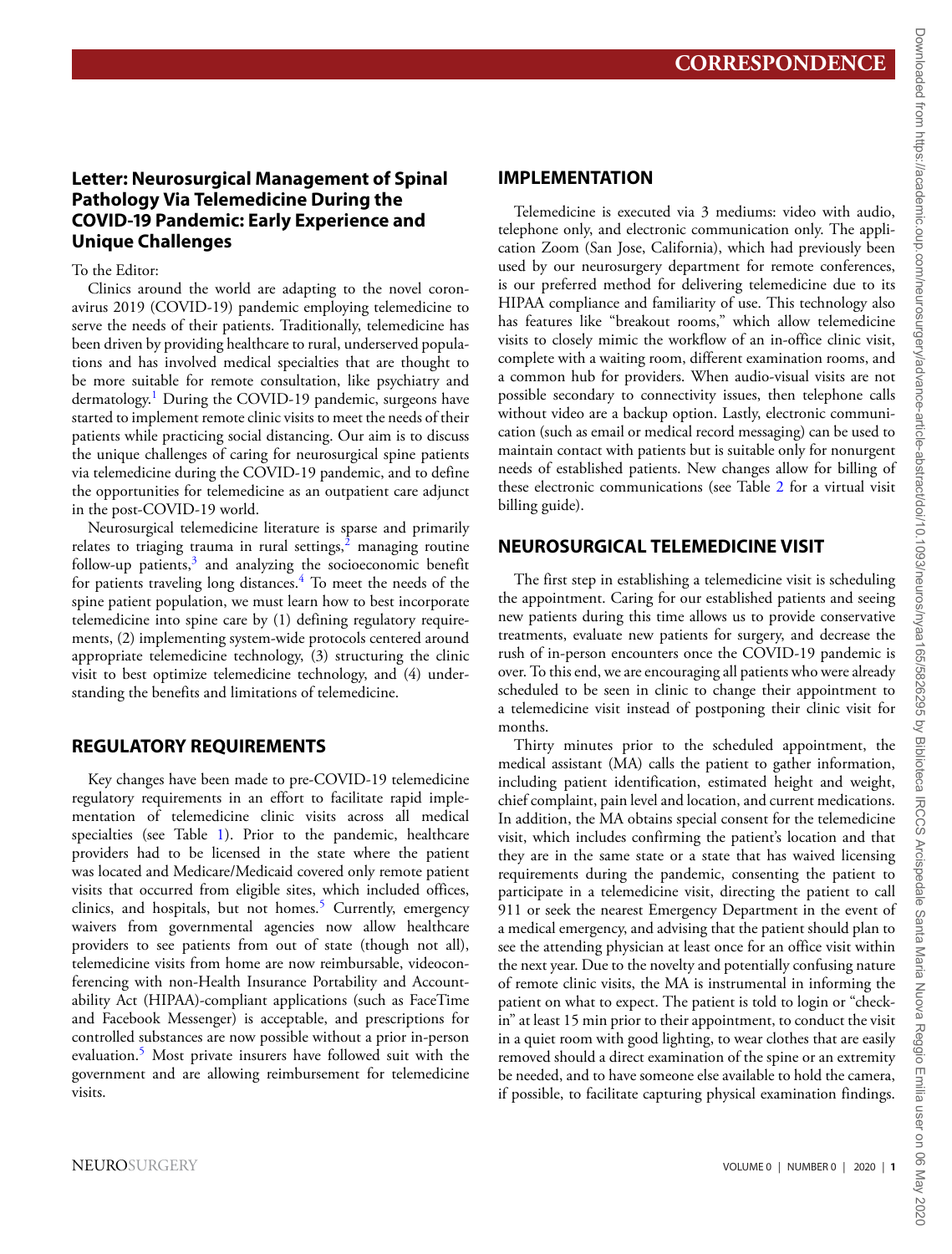# **Letter: Neurosurgical Management of Spinal Pathology Via Telemedicine During the COVID-19 Pandemic: Early Experience and Unique Challenges**

# To the Editor:

Clinics around the world are adapting to the novel coronavirus 2019 (COVID-19) pandemic employing telemedicine to serve the needs of their patients. Traditionally, telemedicine has been driven by providing healthcare to rural, underserved populations and has involved medical specialties that are thought to be more suitable for remote consultation, like psychiatry and dermatology.<sup>[1](#page-4-0)</sup> During the COVID-19 pandemic, surgeons have started to implement remote clinic visits to meet the needs of their patients while practicing social distancing. Our aim is to discuss the unique challenges of caring for neurosurgical spine patients via telemedicine during the COVID-19 pandemic, and to define the opportunities for telemedicine as an outpatient care adjunct in the post-COVID-19 world.

Neurosurgical telemedicine literature is sparse and primarily relates to triaging trauma in rural settings, $^2$  $^2$  managing routine follow-up patients, $3$  and analyzing the socioeconomic benefit for patients traveling long distances.<sup>[4](#page-4-3)</sup> To meet the needs of the spine patient population, we must learn how to best incorporate telemedicine into spine care by (1) defining regulatory requirements, (2) implementing system-wide protocols centered around appropriate telemedicine technology, (3) structuring the clinic visit to best optimize telemedicine technology, and (4) understanding the benefits and limitations of telemedicine.

# **REGULATORY REQUIREMENTS**

Key changes have been made to pre-COVID-19 telemedicine regulatory requirements in an effort to facilitate rapid implementation of telemedicine clinic visits across all medical specialties (see Table [1\)](#page-1-0). Prior to the pandemic, healthcare providers had to be licensed in the state where the patient was located and Medicare/Medicaid covered only remote patient visits that occurred from eligible sites, which included offices, clinics, and hospitals, but not homes.<sup>5</sup> Currently, emergency waivers from governmental agencies now allow healthcare providers to see patients from out of state (though not all), telemedicine visits from home are now reimbursable, videoconferencing with non-Health Insurance Portability and Accountability Act (HIPAA)-compliant applications (such as FaceTime and Facebook Messenger) is acceptable, and prescriptions for controlled substances are now possible without a prior in-person evaluation.<sup>[5](#page-4-4)</sup> Most private insurers have followed suit with the government and are allowing reimbursement for telemedicine visits.

# **IMPLEMENTATION**

Telemedicine is executed via 3 mediums: video with audio, telephone only, and electronic communication only. The application Zoom (San Jose, California), which had previously been used by our neurosurgery department for remote conferences, is our preferred method for delivering telemedicine due to its HIPAA compliance and familiarity of use. This technology also has features like "breakout rooms," which allow telemedicine visits to closely mimic the workflow of an in-office clinic visit, complete with a waiting room, different examination rooms, and a common hub for providers. When audio-visual visits are not possible secondary to connectivity issues, then telephone calls without video are a backup option. Lastly, electronic communication (such as email or medical record messaging) can be used to maintain contact with patients but is suitable only for nonurgent needs of established patients. New changes allow for billing of these electronic communications (see Table [2](#page-2-0) for a virtual visit billing guide).

# **NEUROSURGICAL TELEMEDICINE VISIT**

The first step in establishing a telemedicine visit is scheduling the appointment. Caring for our established patients and seeing new patients during this time allows us to provide conservative treatments, evaluate new patients for surgery, and decrease the rush of in-person encounters once the COVID-19 pandemic is over. To this end, we are encouraging all patients who were already scheduled to be seen in clinic to change their appointment to a telemedicine visit instead of postponing their clinic visit for months.

Thirty minutes prior to the scheduled appointment, the medical assistant (MA) calls the patient to gather information, including patient identification, estimated height and weight, chief complaint, pain level and location, and current medications. In addition, the MA obtains special consent for the telemedicine visit, which includes confirming the patient's location and that they are in the same state or a state that has waived licensing requirements during the pandemic, consenting the patient to participate in a telemedicine visit, directing the patient to call 911 or seek the nearest Emergency Department in the event of a medical emergency, and advising that the patient should plan to see the attending physician at least once for an office visit within the next year. Due to the novelty and potentially confusing nature of remote clinic visits, the MA is instrumental in informing the patient on what to expect. The patient is told to login or "checkin" at least 15 min prior to their appointment, to conduct the visit in a quiet room with good lighting, to wear clothes that are easily removed should a direct examination of the spine or an extremity be needed, and to have someone else available to hold the camera, if possible, to facilitate capturing physical examination findings.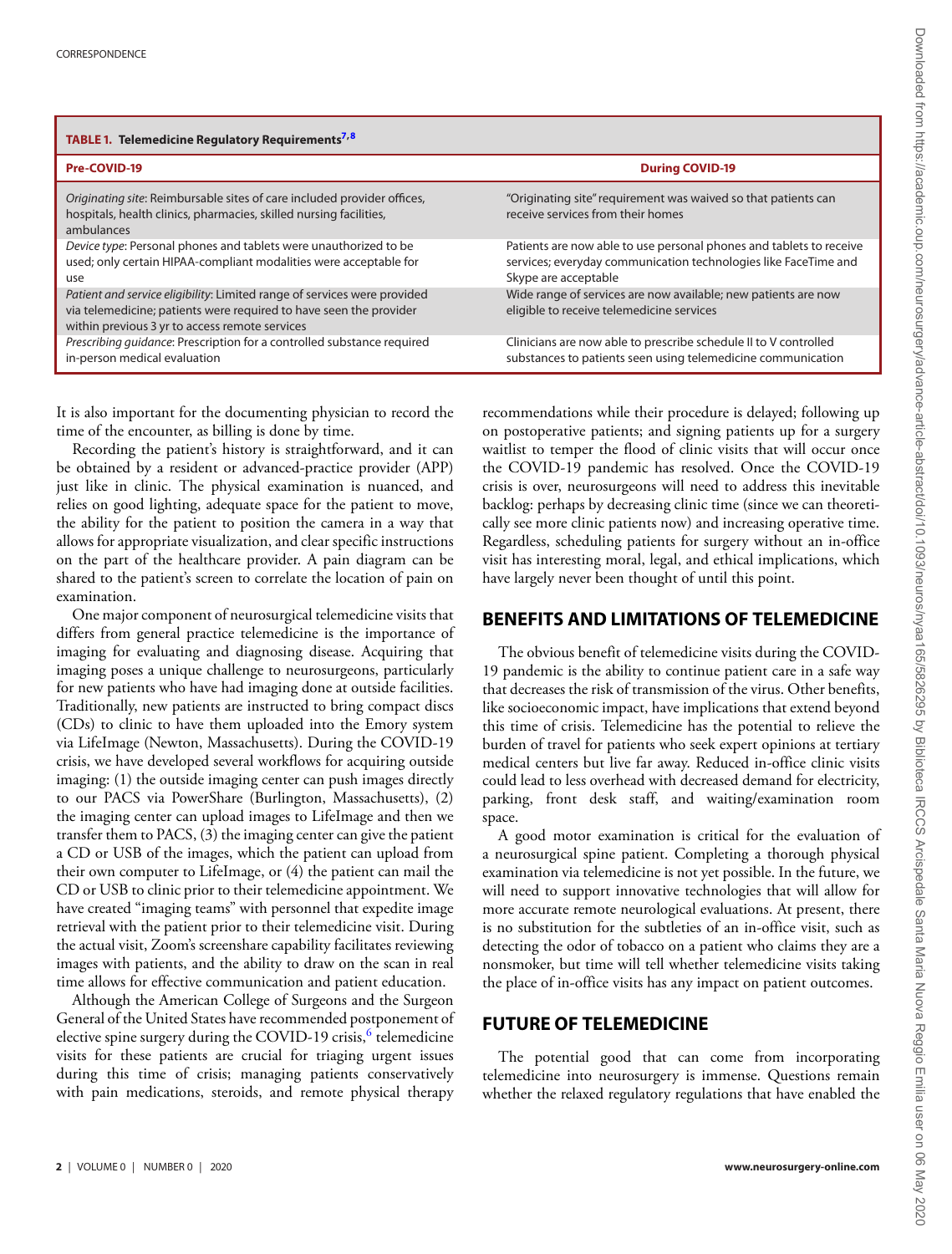<span id="page-1-0"></span>

| TABLE 1. Telemedicine Regulatory Requirements <sup>7,8</sup>                                                                                                                                     |                                                                                                                                                                |
|--------------------------------------------------------------------------------------------------------------------------------------------------------------------------------------------------|----------------------------------------------------------------------------------------------------------------------------------------------------------------|
| Pre-COVID-19                                                                                                                                                                                     | <b>During COVID-19</b>                                                                                                                                         |
| Originating site: Reimbursable sites of care included provider offices,<br>hospitals, health clinics, pharmacies, skilled nursing facilities,<br>ambulances                                      | "Originating site" requirement was waived so that patients can<br>receive services from their homes                                                            |
| Device type: Personal phones and tablets were unauthorized to be<br>used; only certain HIPAA-compliant modalities were acceptable for<br>use                                                     | Patients are now able to use personal phones and tablets to receive<br>services; everyday communication technologies like FaceTime and<br>Skype are acceptable |
| Patient and service eligibility: Limited range of services were provided<br>via telemedicine; patients were required to have seen the provider<br>within previous 3 yr to access remote services | Wide range of services are now available; new patients are now<br>eligible to receive telemedicine services                                                    |
| Prescribing quidance: Prescription for a controlled substance required<br>in-person medical evaluation                                                                                           | Clinicians are now able to prescribe schedule II to V controlled<br>substances to patients seen using telemedicine communication                               |

It is also important for the documenting physician to record the time of the encounter, as billing is done by time.

Recording the patient's history is straightforward, and it can be obtained by a resident or advanced-practice provider (APP) just like in clinic. The physical examination is nuanced, and relies on good lighting, adequate space for the patient to move, the ability for the patient to position the camera in a way that allows for appropriate visualization, and clear specific instructions on the part of the healthcare provider. A pain diagram can be shared to the patient's screen to correlate the location of pain on examination.

One major component of neurosurgical telemedicine visits that differs from general practice telemedicine is the importance of imaging for evaluating and diagnosing disease. Acquiring that imaging poses a unique challenge to neurosurgeons, particularly for new patients who have had imaging done at outside facilities. Traditionally, new patients are instructed to bring compact discs (CDs) to clinic to have them uploaded into the Emory system via LifeImage (Newton, Massachusetts). During the COVID-19 crisis, we have developed several workflows for acquiring outside imaging: (1) the outside imaging center can push images directly to our PACS via PowerShare (Burlington, Massachusetts), (2) the imaging center can upload images to LifeImage and then we transfer them to PACS, (3) the imaging center can give the patient a CD or USB of the images, which the patient can upload from their own computer to LifeImage, or (4) the patient can mail the CD or USB to clinic prior to their telemedicine appointment. We have created "imaging teams" with personnel that expedite image retrieval with the patient prior to their telemedicine visit. During the actual visit, Zoom's screenshare capability facilitates reviewing images with patients, and the ability to draw on the scan in real time allows for effective communication and patient education.

Although the American College of Surgeons and the Surgeon General of the United States have recommended postponement of elective spine surgery during the COVID-19 crisis, $^6$  telemedicine visits for these patients are crucial for triaging urgent issues during this time of crisis; managing patients conservatively with pain medications, steroids, and remote physical therapy

recommendations while their procedure is delayed; following up on postoperative patients; and signing patients up for a surgery waitlist to temper the flood of clinic visits that will occur once the COVID-19 pandemic has resolved. Once the COVID-19 crisis is over, neurosurgeons will need to address this inevitable backlog: perhaps by decreasing clinic time (since we can theoretically see more clinic patients now) and increasing operative time. Regardless, scheduling patients for surgery without an in-office visit has interesting moral, legal, and ethical implications, which have largely never been thought of until this point.

### **BENEFITS AND LIMITATIONS OF TELEMEDICINE**

The obvious benefit of telemedicine visits during the COVID-19 pandemic is the ability to continue patient care in a safe way that decreases the risk of transmission of the virus. Other benefits, like socioeconomic impact, have implications that extend beyond this time of crisis. Telemedicine has the potential to relieve the burden of travel for patients who seek expert opinions at tertiary medical centers but live far away. Reduced in-office clinic visits could lead to less overhead with decreased demand for electricity, parking, front desk staff, and waiting/examination room space.

A good motor examination is critical for the evaluation of a neurosurgical spine patient. Completing a thorough physical examination via telemedicine is not yet possible. In the future, we will need to support innovative technologies that will allow for more accurate remote neurological evaluations. At present, there is no substitution for the subtleties of an in-office visit, such as detecting the odor of tobacco on a patient who claims they are a nonsmoker, but time will tell whether telemedicine visits taking the place of in-office visits has any impact on patient outcomes.

# **FUTURE OF TELEMEDICINE**

The potential good that can come from incorporating telemedicine into neurosurgery is immense. Questions remain whether the relaxed regulatory regulations that have enabled the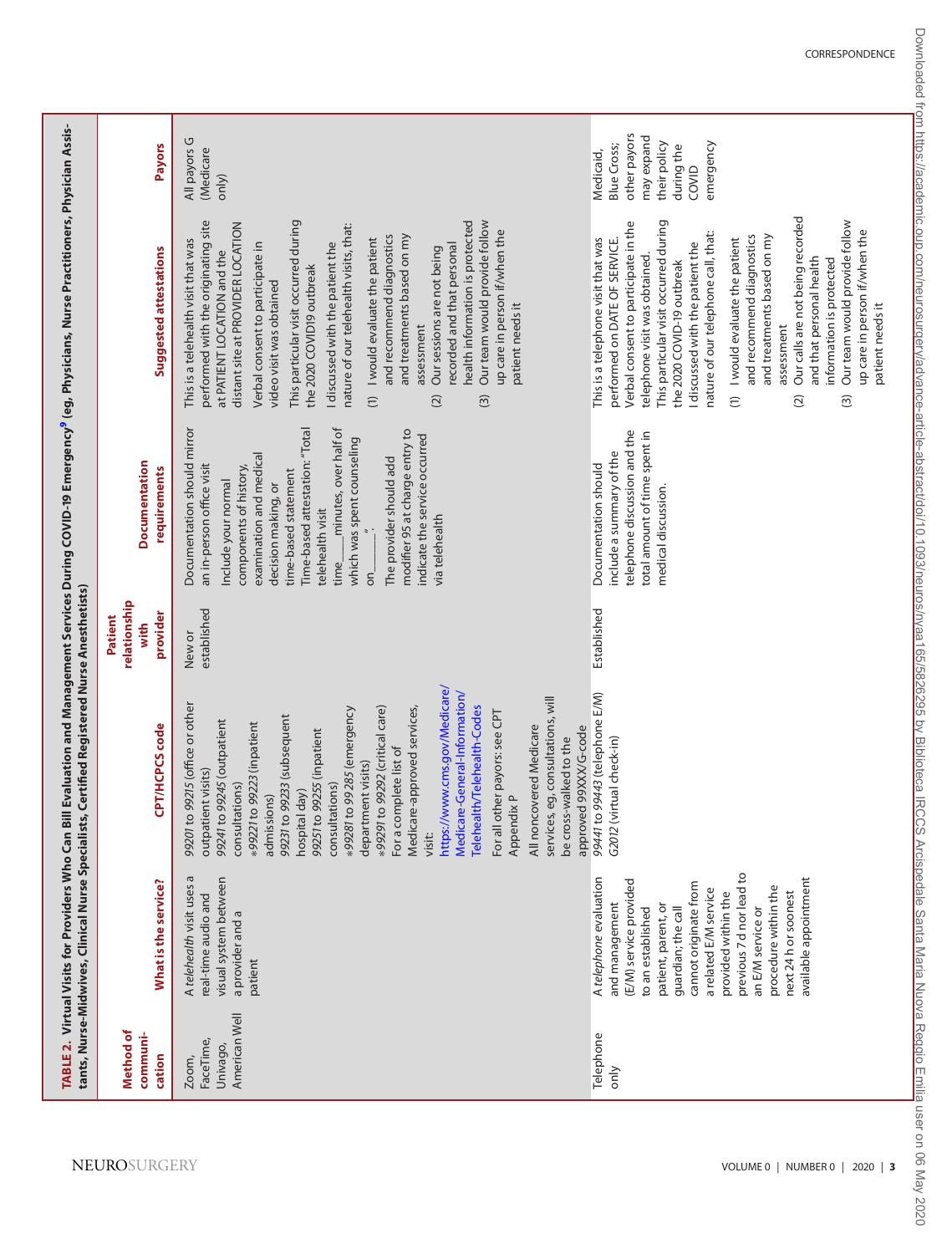<span id="page-2-0"></span>

|                                                 |                                                                                                                                                                                                                                                                                                                                         | tants, Nurse-Midwives, Clinical Nurse Specialists, Certified Registered Nurse Anesthetists)                                                                                                                                                                                                                                                                                                                                                                                                                                                                                                                                                                                         |                                             |                                                                                                                                                                                                                                                                                                                                                                                                                               | TABLE 2.  Virtual Visits for Providers Who Can Bill Evaluation and Management Services During COVID-19 Emergency <sup>9</sup> (eg, Physicians, Nurse Practitioners, Physician Assis-                                                                                                                                                                                                                                                                                                                                                                                                                                                                                                                                    |                                                                                                            |
|-------------------------------------------------|-----------------------------------------------------------------------------------------------------------------------------------------------------------------------------------------------------------------------------------------------------------------------------------------------------------------------------------------|-------------------------------------------------------------------------------------------------------------------------------------------------------------------------------------------------------------------------------------------------------------------------------------------------------------------------------------------------------------------------------------------------------------------------------------------------------------------------------------------------------------------------------------------------------------------------------------------------------------------------------------------------------------------------------------|---------------------------------------------|-------------------------------------------------------------------------------------------------------------------------------------------------------------------------------------------------------------------------------------------------------------------------------------------------------------------------------------------------------------------------------------------------------------------------------|-------------------------------------------------------------------------------------------------------------------------------------------------------------------------------------------------------------------------------------------------------------------------------------------------------------------------------------------------------------------------------------------------------------------------------------------------------------------------------------------------------------------------------------------------------------------------------------------------------------------------------------------------------------------------------------------------------------------------|------------------------------------------------------------------------------------------------------------|
| Method of<br>communi-<br>cation                 | What is the service?                                                                                                                                                                                                                                                                                                                    | CPT/HCPCS code                                                                                                                                                                                                                                                                                                                                                                                                                                                                                                                                                                                                                                                                      | relationship<br>provider<br>Patient<br>with | <b>Documentation</b><br>requirements                                                                                                                                                                                                                                                                                                                                                                                          | Suggested attestations                                                                                                                                                                                                                                                                                                                                                                                                                                                                                                                                                                                                                                                                                                  | Payors                                                                                                     |
| American Well<br>FaceTime,<br>Univago,<br>Zoom, | G<br>visual system between<br>A telehealth visit uses<br>real-time audio and<br>a provider and a<br>patient                                                                                                                                                                                                                             | https://www.cms.gov/Medicare/<br>Medicare-General-Information/<br>services, eg, consultations, will<br>99201 to 99215 (office or other<br>Telehealth/Telehealth-Codes<br>*99291 to 99292 (critical care)<br>Medicare-approved services,<br>+99281 to 99285 (emergency<br>other payors: see CPT<br>99231 to 99233 (subsequent<br>99241 to 99245 (outpatient<br>to 99223 (inpatient<br>All noncovered Medicare<br>approved 99XXX/G-code<br>99251 to 99255 (inpatient<br>be cross-walked to the<br>For a complete list of<br>department visits)<br>outpatient visits)<br>consultations)<br>consultations)<br>hospital day)<br>Appendix P<br>admissions)<br>*99221<br>For all<br>visit: | established<br>New or                       | Documentation should mirror<br>minutes, over half of<br>Time-based attestation: "Total<br>modifier 95 at charge entry to<br>indicate the service occurred<br>which was spent counseling<br>examination and medical<br>The provider should add<br>an in-person office visit<br>components of history,<br>time-based statement<br>Include your normal<br>decision making, or<br>telehealth visit<br>via telehealth<br>time<br>δ | This particular visit occurred during<br>health information is protected<br>Our team would provide follow<br>performed with the originating site<br>distant site at PROVIDER LOCATION<br>nature of our telehealth visits, that:<br>up care in person if/when the<br>and recommend diagnostics<br>and treatments based on my<br>I would evaluate the patient<br>This is a telehealth visit that was<br>I discussed with the patient the<br>recorded and that personal<br>Verbal consent to participate in<br>Our sessions are not being<br>at PATIENT LOCATION and the<br>the 2020 COVID19 outbreak<br>video visit was obtained<br>patient needs it<br>assessment<br>$\widehat{c}$<br>$\widehat{\mathcal{O}}$<br>$\odot$ | All payors G<br>(Medicare<br>only)                                                                         |
| Telephone<br>only                               | previous 7 d nor lead to<br>A telephone evaluation<br>available appointment<br>(E/M) service provided<br>cannot originate from<br>procedure within the<br>a related E/M service<br>provided within the<br>next 24 h or soonest<br>and management<br>patient, parent, or<br>guardian; the call<br>an E/M service or<br>to an established | 99441 to 99443 (telephone E/M)<br>G2012 (virtual check-in)                                                                                                                                                                                                                                                                                                                                                                                                                                                                                                                                                                                                                          | Established                                 | telephone discussion and the<br>total amount of time spent in<br>include a summary of the<br>Documentation should<br>medical discussion.                                                                                                                                                                                                                                                                                      | Our calls are not being recorded<br>This particular visit occurred during<br>Our team would provide follow<br>Verbal consent to participate in the<br>up care in person if/when the<br>nature of our telephone call, that:<br>and recommend diagnostics<br>and treatments based on my<br>This is a telephone visit that was<br>I would evaluate the patient<br>performed on DATE OF SERVICE.<br>I discussed with the patient the<br>telephone visit was obtained.<br>and that personal health<br>information is protected<br>the 2020 COVID-19 outbreak<br>patient needs it<br>assessment<br>$\widehat{c}$<br>$\widehat{\mathfrak{S}}$<br>$\widehat{\Omega}$                                                            | other payors<br>may expand<br>their policy<br>emergency<br>Blue Cross;<br>during the<br>Medicaid,<br>COVID |

Downloaded from https://academic.oup.com/neurosurgery/advance-article-abstract/doi/10.1093/neuros/nyaa165/58295 by Biblioteca IRCCS Arcispedale Santa Maria Muova Reggio Emilia user on 06 May 2020 Downloaded from https://academic.oup.com/neurosurgery/advance-article-abstract/doi/10.1093/neuros/nyaa165/5826295 by Biblioteca IRCCS Arcispedale Santa Maria Nuova Reggio Emilia user on 06 May 2020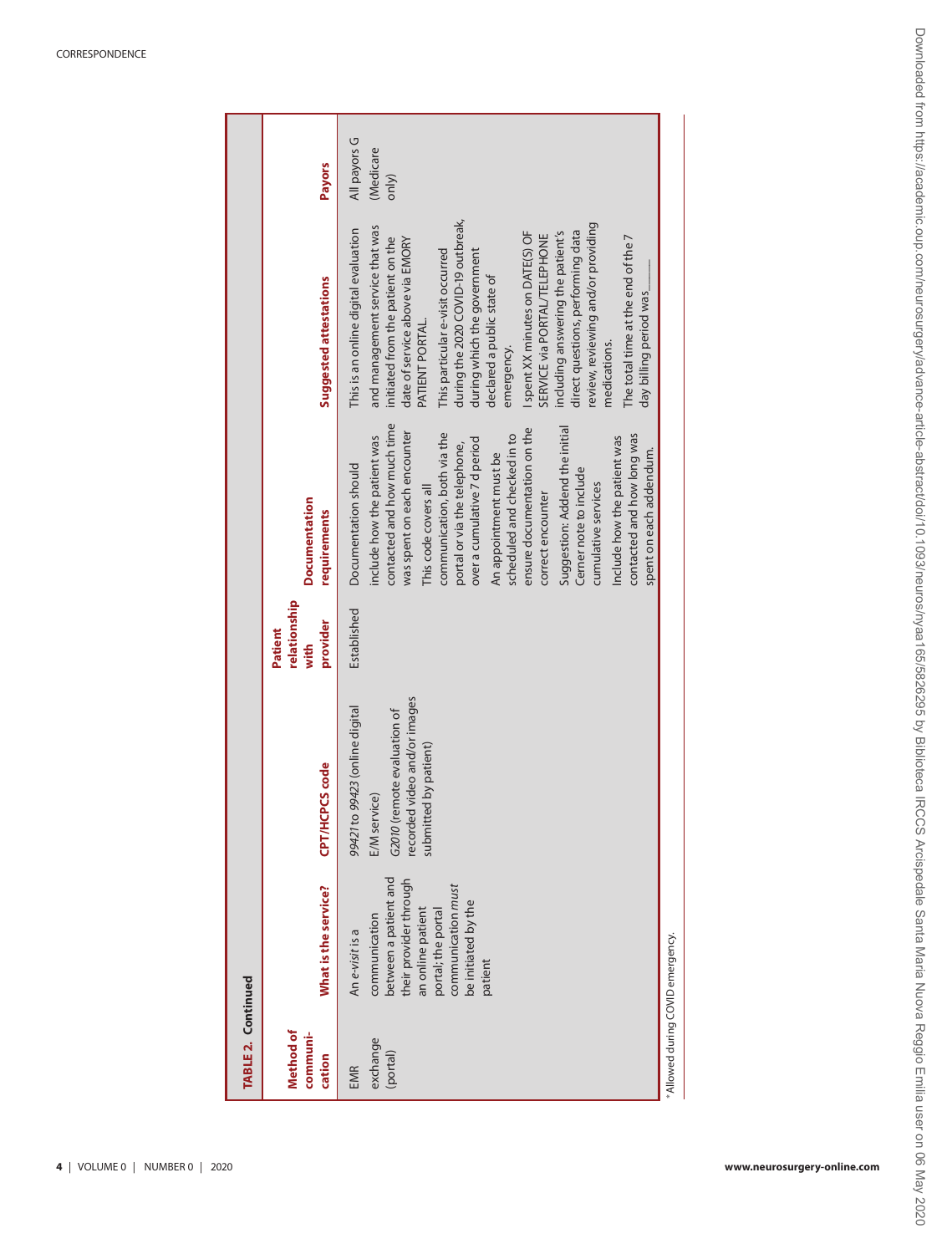<span id="page-3-0"></span>

| TABLE 2. Continued              |                                                                                                                                                                                        |                                                                                                                                        |                                             |                                                                                                                                                                                                                                                                                                                                                                                                                                                                                                                                  |                                                                                                                                                                                                                                                                                                                                                                                                                                                                                                                                                                                              |                                    |
|---------------------------------|----------------------------------------------------------------------------------------------------------------------------------------------------------------------------------------|----------------------------------------------------------------------------------------------------------------------------------------|---------------------------------------------|----------------------------------------------------------------------------------------------------------------------------------------------------------------------------------------------------------------------------------------------------------------------------------------------------------------------------------------------------------------------------------------------------------------------------------------------------------------------------------------------------------------------------------|----------------------------------------------------------------------------------------------------------------------------------------------------------------------------------------------------------------------------------------------------------------------------------------------------------------------------------------------------------------------------------------------------------------------------------------------------------------------------------------------------------------------------------------------------------------------------------------------|------------------------------------|
| Method of<br>communi-<br>cation | What is the service?                                                                                                                                                                   | CPT/HCPCS code                                                                                                                         | relationship<br>provider<br>Patient<br>with | <b>Documentation</b><br>requirements                                                                                                                                                                                                                                                                                                                                                                                                                                                                                             | Suggested attestations                                                                                                                                                                                                                                                                                                                                                                                                                                                                                                                                                                       | <b>Payors</b>                      |
| exchange<br>(portal)<br>EMR     | between a patient and<br>their provider through<br>communication must<br>be initiated by the<br>an online patient<br>portal; the portal<br>communication<br>An e-visit is a<br>patient | recorded video and/or images<br>99421 to 99423 (online digital<br>G2010 (remote evaluation of<br>submitted by patient)<br>E/M service) | Established                                 | contacted and how much time<br>Suggestion: Addend the initial<br>ensure documentation on the<br>was spent on each encounter<br>communication, both via the<br>contacted and how long was<br>scheduled and checked in to<br>Include how the patient was<br>include how the patient was<br>over a cumulative 7 d period<br>portal or via the telephone,<br>spent on each addendum.<br>An appointment must be<br>Documentation should<br>Cerner note to include<br>cumulative services<br>This code covers all<br>correct encounter | during the 2020 COVID-19 outbreak,<br>review, reviewing and/or providing<br>and management service that was<br>This is an online digital evaluation<br>direct questions, performing data<br>I spent XX minutes on DATE(S) OF<br>including answering the patient's<br>SERVICE via PORTAL/TELEPHONE<br>initiated from the patient on the<br>The total time at the end of the 7<br>date of service above via EMORY<br>This particular e-visit occurred<br>during which the government<br>declared a public state of<br>day billing period was_<br>PATIENT PORTAL.<br>medications.<br>emergency. | All payors G<br>(Medicare<br>only) |
| Allowed during COVID emergency. |                                                                                                                                                                                        |                                                                                                                                        |                                             |                                                                                                                                                                                                                                                                                                                                                                                                                                                                                                                                  |                                                                                                                                                                                                                                                                                                                                                                                                                                                                                                                                                                                              |                                    |